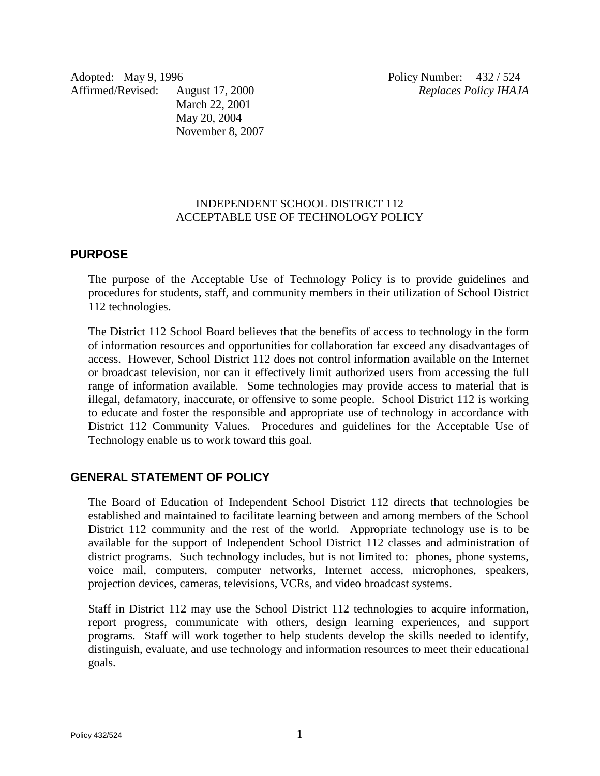Adopted: May 9, 1996 Policy Number: 432 / 524 Affirmed/Revised: August 17, 2000 *Replaces Policy IHAJA* March 22, 2001 May 20, 2004 November 8, 2007

# INDEPENDENT SCHOOL DISTRICT 112 ACCEPTABLE USE OF TECHNOLOGY POLICY

### **PURPOSE**

The purpose of the Acceptable Use of Technology Policy is to provide guidelines and procedures for students, staff, and community members in their utilization of School District 112 technologies.

The District 112 School Board believes that the benefits of access to technology in the form of information resources and opportunities for collaboration far exceed any disadvantages of access. However, School District 112 does not control information available on the Internet or broadcast television, nor can it effectively limit authorized users from accessing the full range of information available. Some technologies may provide access to material that is illegal, defamatory, inaccurate, or offensive to some people. School District 112 is working to educate and foster the responsible and appropriate use of technology in accordance with District 112 Community Values. Procedures and guidelines for the Acceptable Use of Technology enable us to work toward this goal.

# **GENERAL STATEMENT OF POLICY**

The Board of Education of Independent School District 112 directs that technologies be established and maintained to facilitate learning between and among members of the School District 112 community and the rest of the world. Appropriate technology use is to be available for the support of Independent School District 112 classes and administration of district programs. Such technology includes, but is not limited to: phones, phone systems, voice mail, computers, computer networks, Internet access, microphones, speakers, projection devices, cameras, televisions, VCRs, and video broadcast systems.

Staff in District 112 may use the School District 112 technologies to acquire information, report progress, communicate with others, design learning experiences, and support programs. Staff will work together to help students develop the skills needed to identify, distinguish, evaluate, and use technology and information resources to meet their educational goals.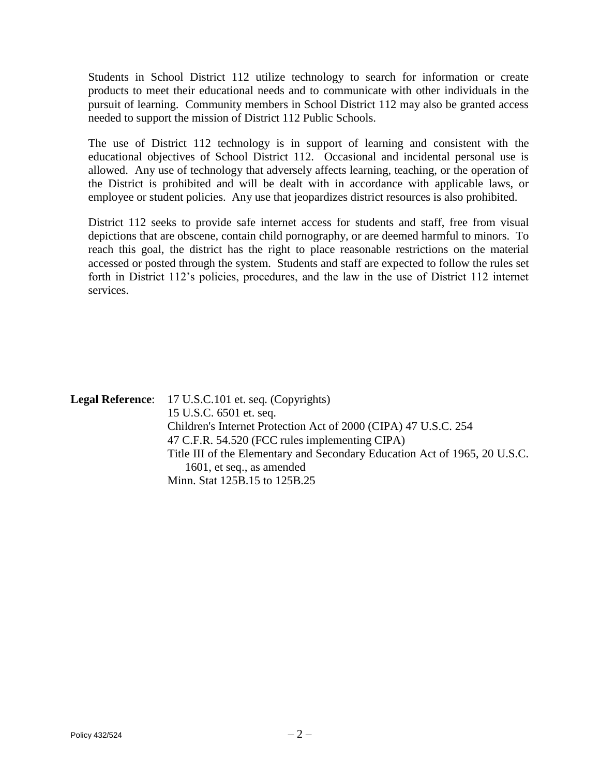Students in School District 112 utilize technology to search for information or create products to meet their educational needs and to communicate with other individuals in the pursuit of learning. Community members in School District 112 may also be granted access needed to support the mission of District 112 Public Schools.

The use of District 112 technology is in support of learning and consistent with the educational objectives of School District 112. Occasional and incidental personal use is allowed. Any use of technology that adversely affects learning, teaching, or the operation of the District is prohibited and will be dealt with in accordance with applicable laws, or employee or student policies. Any use that jeopardizes district resources is also prohibited.

District 112 seeks to provide safe internet access for students and staff, free from visual depictions that are obscene, contain child pornography, or are deemed harmful to minors. To reach this goal, the district has the right to place reasonable restrictions on the material accessed or posted through the system. Students and staff are expected to follow the rules set forth in District 112's policies, procedures, and the law in the use of District 112 internet services.

**Legal Reference**: 17 U.S.C.101 et. seq. (Copyrights) 15 U.S.C. 6501 et. seq. Children's Internet Protection Act of 2000 (CIPA) 47 U.S.C. 254 47 C.F.R. 54.520 (FCC rules implementing CIPA) Title III of the Elementary and Secondary Education Act of 1965, 20 U.S.C. 1601, et seq., as amended Minn. Stat 125B.15 to 125B.25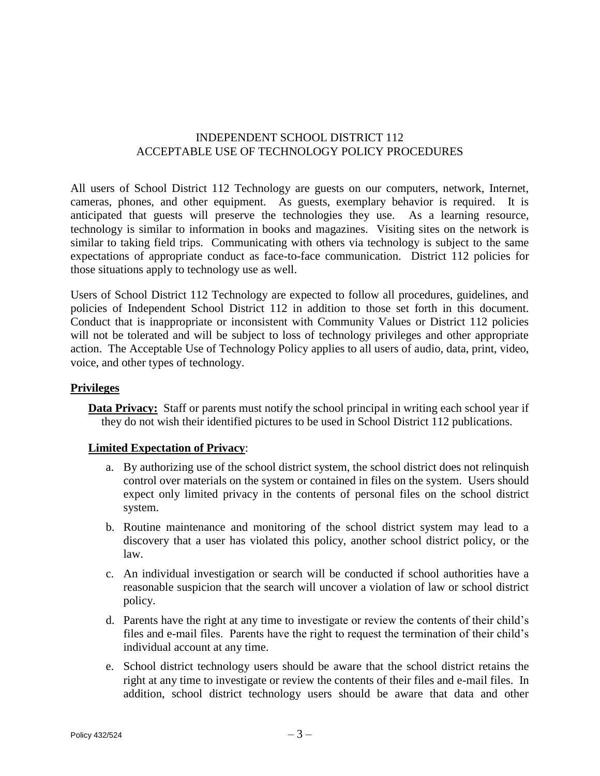# INDEPENDENT SCHOOL DISTRICT 112 ACCEPTABLE USE OF TECHNOLOGY POLICY PROCEDURES

All users of School District 112 Technology are guests on our computers, network, Internet, cameras, phones, and other equipment. As guests, exemplary behavior is required. It is anticipated that guests will preserve the technologies they use. As a learning resource, technology is similar to information in books and magazines. Visiting sites on the network is similar to taking field trips. Communicating with others via technology is subject to the same expectations of appropriate conduct as face-to-face communication. District 112 policies for those situations apply to technology use as well.

Users of School District 112 Technology are expected to follow all procedures, guidelines, and policies of Independent School District 112 in addition to those set forth in this document. Conduct that is inappropriate or inconsistent with Community Values or District 112 policies will not be tolerated and will be subject to loss of technology privileges and other appropriate action. The Acceptable Use of Technology Policy applies to all users of audio, data, print, video, voice, and other types of technology.

#### **Privileges**

**Data Privacy:** Staff or parents must notify the school principal in writing each school year if they do not wish their identified pictures to be used in School District 112 publications.

#### **Limited Expectation of Privacy**:

- a. By authorizing use of the school district system, the school district does not relinquish control over materials on the system or contained in files on the system. Users should expect only limited privacy in the contents of personal files on the school district system.
- b. Routine maintenance and monitoring of the school district system may lead to a discovery that a user has violated this policy, another school district policy, or the law.
- c. An individual investigation or search will be conducted if school authorities have a reasonable suspicion that the search will uncover a violation of law or school district policy.
- d. Parents have the right at any time to investigate or review the contents of their child's files and e-mail files. Parents have the right to request the termination of their child's individual account at any time.
- e. School district technology users should be aware that the school district retains the right at any time to investigate or review the contents of their files and e-mail files. In addition, school district technology users should be aware that data and other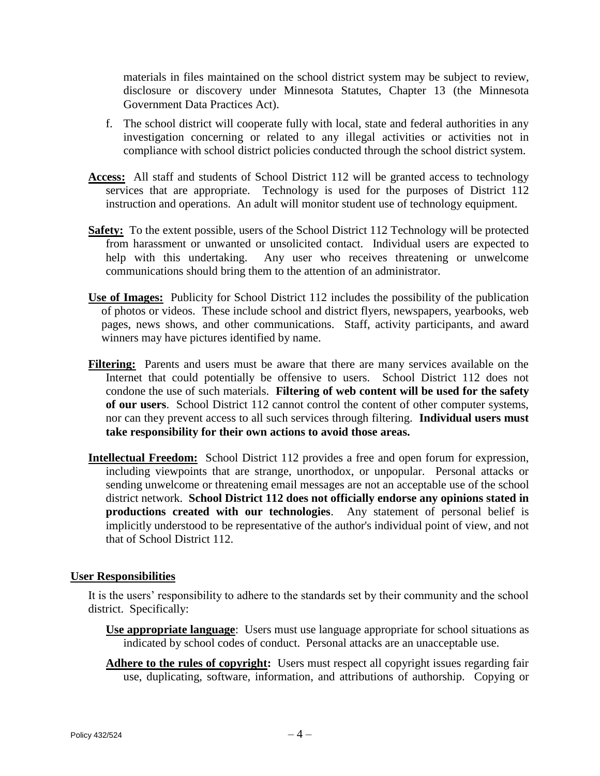materials in files maintained on the school district system may be subject to review, disclosure or discovery under Minnesota Statutes, Chapter 13 (the Minnesota Government Data Practices Act).

- f. The school district will cooperate fully with local, state and federal authorities in any investigation concerning or related to any illegal activities or activities not in compliance with school district policies conducted through the school district system.
- **Access:** All staff and students of School District 112 will be granted access to technology services that are appropriate. Technology is used for the purposes of District 112 instruction and operations. An adult will monitor student use of technology equipment.
- **Safety:** To the extent possible, users of the School District 112 Technology will be protected from harassment or unwanted or unsolicited contact. Individual users are expected to help with this undertaking. Any user who receives threatening or unwelcome communications should bring them to the attention of an administrator.
- **Use of Images:** Publicity for School District 112 includes the possibility of the publication of photos or videos. These include school and district flyers, newspapers, yearbooks, web pages, news shows, and other communications. Staff, activity participants, and award winners may have pictures identified by name.
- **Filtering:** Parents and users must be aware that there are many services available on the Internet that could potentially be offensive to users. School District 112 does not condone the use of such materials. **Filtering of web content will be used for the safety of our users**. School District 112 cannot control the content of other computer systems, nor can they prevent access to all such services through filtering. **Individual users must take responsibility for their own actions to avoid those areas.**
- **Intellectual Freedom:** School District 112 provides a free and open forum for expression, including viewpoints that are strange, unorthodox, or unpopular. Personal attacks or sending unwelcome or threatening email messages are not an acceptable use of the school district network. **School District 112 does not officially endorse any opinions stated in productions created with our technologies**. Any statement of personal belief is implicitly understood to be representative of the author's individual point of view, and not that of School District 112.

#### **User Responsibilities**

It is the users' responsibility to adhere to the standards set by their community and the school district. Specifically:

- **Use appropriate language**: Users must use language appropriate for school situations as indicated by school codes of conduct. Personal attacks are an unacceptable use.
- **Adhere to the rules of copyright:** Users must respect all copyright issues regarding fair use, duplicating, software, information, and attributions of authorship. Copying or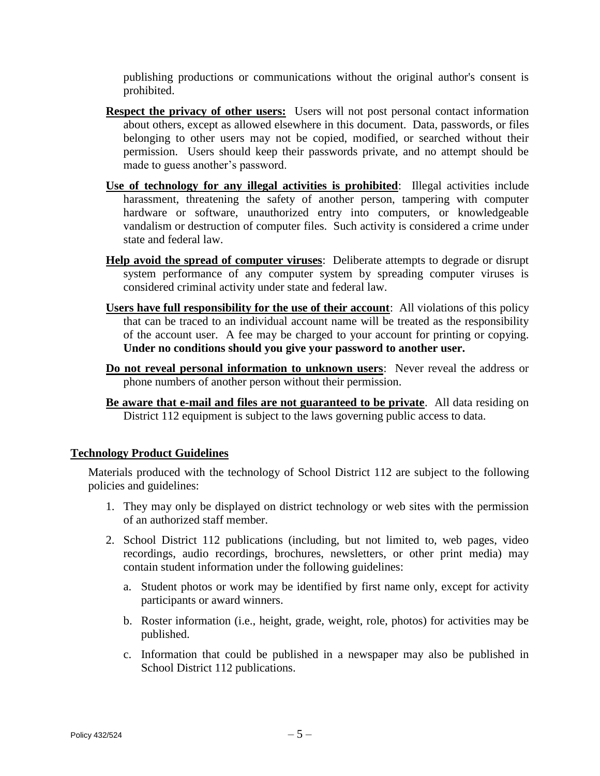publishing productions or communications without the original author's consent is prohibited.

- **Respect the privacy of other users:** Users will not post personal contact information about others, except as allowed elsewhere in this document. Data, passwords, or files belonging to other users may not be copied, modified, or searched without their permission. Users should keep their passwords private, and no attempt should be made to guess another's password.
- **Use of technology for any illegal activities is prohibited**: Illegal activities include harassment, threatening the safety of another person, tampering with computer hardware or software, unauthorized entry into computers, or knowledgeable vandalism or destruction of computer files. Such activity is considered a crime under state and federal law.
- **Help avoid the spread of computer viruses**: Deliberate attempts to degrade or disrupt system performance of any computer system by spreading computer viruses is considered criminal activity under state and federal law.
- **Users have full responsibility for the use of their account**: All violations of this policy that can be traced to an individual account name will be treated as the responsibility of the account user. A fee may be charged to your account for printing or copying. **Under no conditions should you give your password to another user.**
- **Do not reveal personal information to unknown users**: Never reveal the address or phone numbers of another person without their permission.
- **Be aware that e-mail and files are not guaranteed to be private**. All data residing on District 112 equipment is subject to the laws governing public access to data.

#### **Technology Product Guidelines**

Materials produced with the technology of School District 112 are subject to the following policies and guidelines:

- 1. They may only be displayed on district technology or web sites with the permission of an authorized staff member.
- 2. School District 112 publications (including, but not limited to, web pages, video recordings, audio recordings, brochures, newsletters, or other print media) may contain student information under the following guidelines:
	- a. Student photos or work may be identified by first name only, except for activity participants or award winners.
	- b. Roster information (i.e., height, grade, weight, role, photos) for activities may be published.
	- c. Information that could be published in a newspaper may also be published in School District 112 publications.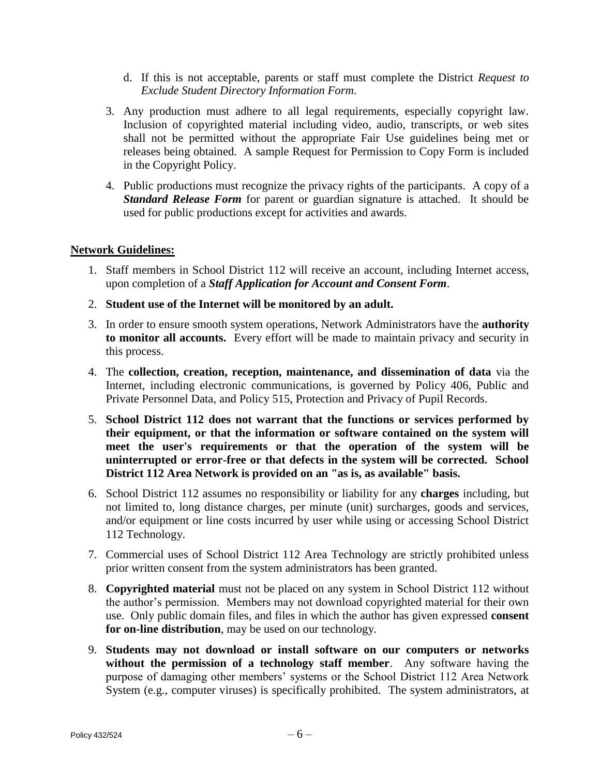- d. If this is not acceptable, parents or staff must complete the District *Request to Exclude Student Directory Information Form*.
- 3. Any production must adhere to all legal requirements, especially copyright law. Inclusion of copyrighted material including video, audio, transcripts, or web sites shall not be permitted without the appropriate Fair Use guidelines being met or releases being obtained. A sample Request for Permission to Copy Form is included in the Copyright Policy.
- 4. Public productions must recognize the privacy rights of the participants. A copy of a *Standard Release Form* for parent or guardian signature is attached. It should be used for public productions except for activities and awards.

#### **Network Guidelines:**

- 1. Staff members in School District 112 will receive an account, including Internet access, upon completion of a *Staff Application for Account and Consent Form*.
- 2. **Student use of the Internet will be monitored by an adult.**
- 3. In order to ensure smooth system operations, Network Administrators have the **authority to monitor all accounts.** Every effort will be made to maintain privacy and security in this process.
- 4. The **collection, creation, reception, maintenance, and dissemination of data** via the Internet, including electronic communications, is governed by Policy 406, Public and Private Personnel Data, and Policy 515, Protection and Privacy of Pupil Records.
- 5. **School District 112 does not warrant that the functions or services performed by their equipment, or that the information or software contained on the system will meet the user's requirements or that the operation of the system will be uninterrupted or error-free or that defects in the system will be corrected. School District 112 Area Network is provided on an "as is, as available" basis.**
- 6. School District 112 assumes no responsibility or liability for any **charges** including, but not limited to, long distance charges, per minute (unit) surcharges, goods and services, and/or equipment or line costs incurred by user while using or accessing School District 112 Technology.
- 7. Commercial uses of School District 112 Area Technology are strictly prohibited unless prior written consent from the system administrators has been granted.
- 8. **Copyrighted material** must not be placed on any system in School District 112 without the author's permission. Members may not download copyrighted material for their own use. Only public domain files, and files in which the author has given expressed **consent for on-line distribution**, may be used on our technology.
- 9. **Students may not download or install software on our computers or networks without the permission of a technology staff member**. Any software having the purpose of damaging other members' systems or the School District 112 Area Network System (e.g., computer viruses) is specifically prohibited. The system administrators, at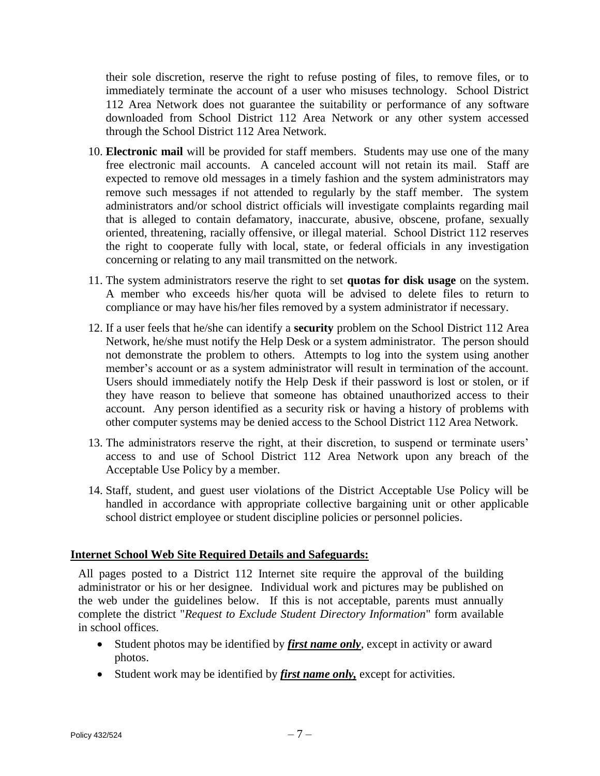their sole discretion, reserve the right to refuse posting of files, to remove files, or to immediately terminate the account of a user who misuses technology. School District 112 Area Network does not guarantee the suitability or performance of any software downloaded from School District 112 Area Network or any other system accessed through the School District 112 Area Network.

- 10. **Electronic mail** will be provided for staff members. Students may use one of the many free electronic mail accounts. A canceled account will not retain its mail. Staff are expected to remove old messages in a timely fashion and the system administrators may remove such messages if not attended to regularly by the staff member. The system administrators and/or school district officials will investigate complaints regarding mail that is alleged to contain defamatory, inaccurate, abusive, obscene, profane, sexually oriented, threatening, racially offensive, or illegal material. School District 112 reserves the right to cooperate fully with local, state, or federal officials in any investigation concerning or relating to any mail transmitted on the network.
- 11. The system administrators reserve the right to set **quotas for disk usage** on the system. A member who exceeds his/her quota will be advised to delete files to return to compliance or may have his/her files removed by a system administrator if necessary.
- 12. If a user feels that he/she can identify a **security** problem on the School District 112 Area Network, he/she must notify the Help Desk or a system administrator. The person should not demonstrate the problem to others. Attempts to log into the system using another member's account or as a system administrator will result in termination of the account. Users should immediately notify the Help Desk if their password is lost or stolen, or if they have reason to believe that someone has obtained unauthorized access to their account. Any person identified as a security risk or having a history of problems with other computer systems may be denied access to the School District 112 Area Network.
- 13. The administrators reserve the right, at their discretion, to suspend or terminate users' access to and use of School District 112 Area Network upon any breach of the Acceptable Use Policy by a member.
- 14. Staff, student, and guest user violations of the District Acceptable Use Policy will be handled in accordance with appropriate collective bargaining unit or other applicable school district employee or student discipline policies or personnel policies.

# **Internet School Web Site Required Details and Safeguards:**

All pages posted to a District 112 Internet site require the approval of the building administrator or his or her designee. Individual work and pictures may be published on the web under the guidelines below. If this is not acceptable, parents must annually complete the district "*Request to Exclude Student Directory Information*" form available in school offices.

- Student photos may be identified by *first name only*, except in activity or award photos.
- Student work may be identified by *first name only,* except for activities.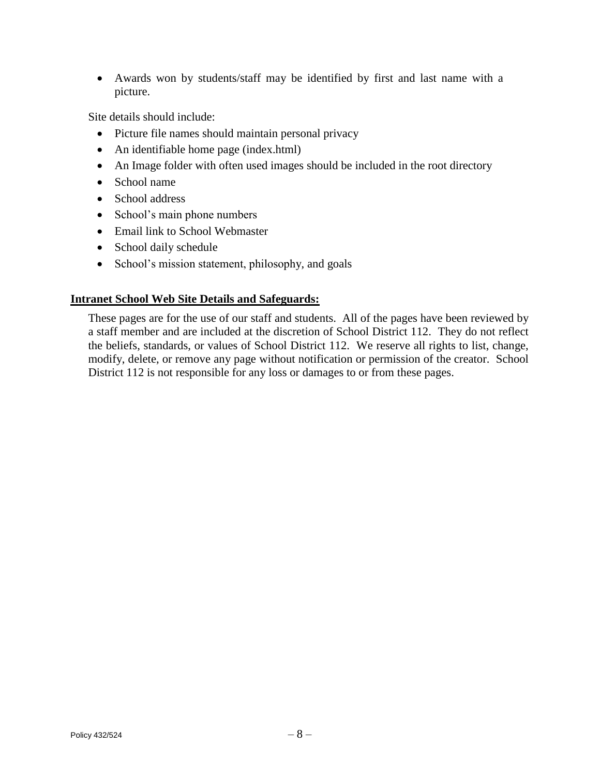Awards won by students/staff may be identified by first and last name with a picture.

Site details should include:

- Picture file names should maintain personal privacy
- An identifiable home page (index.html)
- An Image folder with often used images should be included in the root directory
- School name
- School address
- School's main phone numbers
- Email link to School Webmaster
- School daily schedule
- School's mission statement, philosophy, and goals

### **Intranet School Web Site Details and Safeguards:**

These pages are for the use of our staff and students. All of the pages have been reviewed by a staff member and are included at the discretion of School District 112. They do not reflect the beliefs, standards, or values of School District 112. We reserve all rights to list, change, modify, delete, or remove any page without notification or permission of the creator. School District 112 is not responsible for any loss or damages to or from these pages.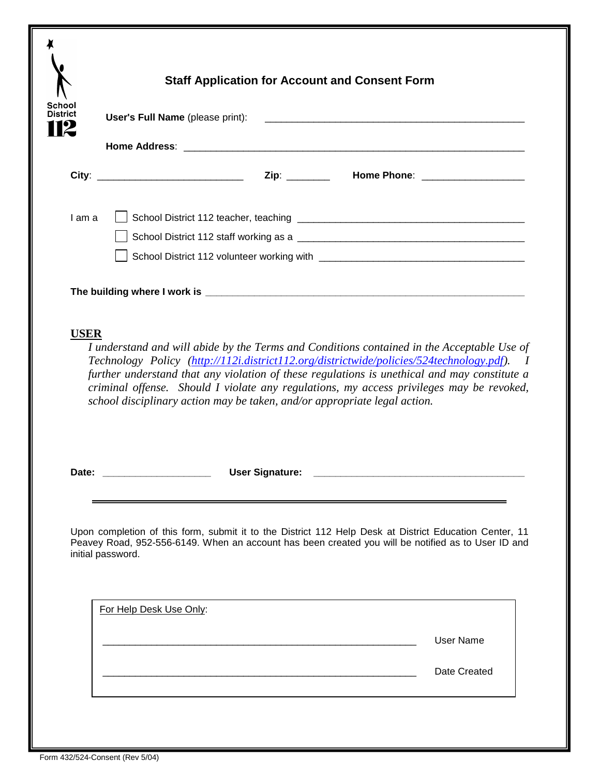| School<br>District | User's Full Name (please print):                                                                                                                                                                                                                                      |
|--------------------|-----------------------------------------------------------------------------------------------------------------------------------------------------------------------------------------------------------------------------------------------------------------------|
|                    |                                                                                                                                                                                                                                                                       |
|                    |                                                                                                                                                                                                                                                                       |
|                    | Zip: ___________  Home Phone: ________________________                                                                                                                                                                                                                |
| I am a             |                                                                                                                                                                                                                                                                       |
|                    |                                                                                                                                                                                                                                                                       |
|                    |                                                                                                                                                                                                                                                                       |
|                    |                                                                                                                                                                                                                                                                       |
|                    | further understand that any violation of these regulations is unethical and may constitute a<br>criminal offense. Should I violate any regulations, my access privileges may be revoked,<br>school disciplinary action may be taken, and/or appropriate legal action. |
|                    |                                                                                                                                                                                                                                                                       |
|                    |                                                                                                                                                                                                                                                                       |
|                    | Upon completion of this form, submit it to the District 112 Help Desk at District Education Center, 11<br>Peavey Road, 952-556-6149. When an account has been created you will be notified as to User ID and<br>initial password.                                     |
|                    | For Help Desk Use Only:                                                                                                                                                                                                                                               |
|                    |                                                                                                                                                                                                                                                                       |